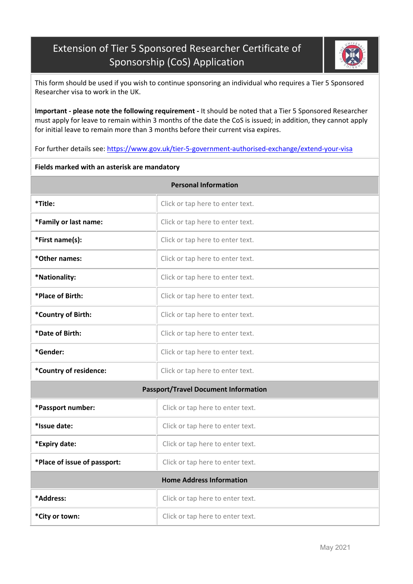## Extension of Tier 5 Sponsored Researcher Certificate of Sponsorship (CoS) Application



This form should be used if you wish to continue sponsoring an individual who requires a Tier 5 Sponsored Researcher visa to work in the UK.

**Important - please note the following requirement -** It should be noted that a Tier 5 Sponsored Researcher must apply for leave to remain within 3 months of the date the CoS is issued; in addition, they cannot apply for initial leave to remain more than 3 months before their current visa expires.

For further details see: <https://www.gov.uk/tier-5-government-authorised-exchange/extend-your-visa>

## **Fields marked with an asterisk are mandatory**

| <b>Personal Information</b>                 |                                  |  |  |  |  |
|---------------------------------------------|----------------------------------|--|--|--|--|
| *Title:                                     | Click or tap here to enter text. |  |  |  |  |
| *Family or last name:                       | Click or tap here to enter text. |  |  |  |  |
| *First name(s):                             | Click or tap here to enter text. |  |  |  |  |
| *Other names:                               | Click or tap here to enter text. |  |  |  |  |
| *Nationality:                               | Click or tap here to enter text. |  |  |  |  |
| *Place of Birth:                            | Click or tap here to enter text. |  |  |  |  |
| *Country of Birth:                          | Click or tap here to enter text. |  |  |  |  |
| *Date of Birth:                             | Click or tap here to enter text. |  |  |  |  |
| *Gender:                                    | Click or tap here to enter text. |  |  |  |  |
| *Country of residence:                      | Click or tap here to enter text. |  |  |  |  |
| <b>Passport/Travel Document Information</b> |                                  |  |  |  |  |
| *Passport number:                           | Click or tap here to enter text. |  |  |  |  |
| *Issue date:                                | Click or tap here to enter text. |  |  |  |  |
| *Expiry date:                               | Click or tap here to enter text. |  |  |  |  |
| *Place of issue of passport:                | Click or tap here to enter text. |  |  |  |  |
| <b>Home Address Information</b>             |                                  |  |  |  |  |
| *Address:                                   | Click or tap here to enter text. |  |  |  |  |
| *City or town:                              | Click or tap here to enter text. |  |  |  |  |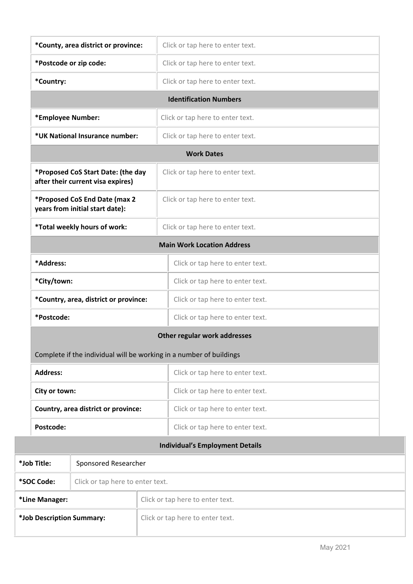| *County, area district or province:                                     |                                     |  | Click or tap here to enter text.                                    |  |  |
|-------------------------------------------------------------------------|-------------------------------------|--|---------------------------------------------------------------------|--|--|
| *Postcode or zip code:                                                  |                                     |  | Click or tap here to enter text.                                    |  |  |
| *Country:                                                               |                                     |  | Click or tap here to enter text.                                    |  |  |
|                                                                         |                                     |  | <b>Identification Numbers</b>                                       |  |  |
| *Employee Number:                                                       |                                     |  | Click or tap here to enter text.                                    |  |  |
|                                                                         | *UK National Insurance number:      |  | Click or tap here to enter text.                                    |  |  |
|                                                                         |                                     |  | <b>Work Dates</b>                                                   |  |  |
| *Proposed CoS Start Date: (the day<br>after their current visa expires) |                                     |  | Click or tap here to enter text.                                    |  |  |
| *Proposed CoS End Date (max 2<br>years from initial start date):        |                                     |  | Click or tap here to enter text.                                    |  |  |
|                                                                         | *Total weekly hours of work:        |  | Click or tap here to enter text.                                    |  |  |
|                                                                         |                                     |  | <b>Main Work Location Address</b>                                   |  |  |
| *Address:                                                               |                                     |  | Click or tap here to enter text.                                    |  |  |
| *City/town:                                                             |                                     |  | Click or tap here to enter text.                                    |  |  |
| *Country, area, district or province:                                   |                                     |  | Click or tap here to enter text.                                    |  |  |
| *Postcode:                                                              |                                     |  | Click or tap here to enter text.                                    |  |  |
|                                                                         |                                     |  | Other regular work addresses                                        |  |  |
|                                                                         |                                     |  | Complete if the individual will be working in a number of buildings |  |  |
| <b>Address:</b>                                                         |                                     |  | Click or tap here to enter text.                                    |  |  |
|                                                                         | City or town:                       |  | Click or tap here to enter text.                                    |  |  |
|                                                                         | Country, area district or province: |  | Click or tap here to enter text.                                    |  |  |
| Postcode:                                                               |                                     |  | Click or tap here to enter text.                                    |  |  |
|                                                                         |                                     |  | <b>Individual's Employment Details</b>                              |  |  |
| *Job Title:                                                             | Sponsored Researcher                |  |                                                                     |  |  |
| *SOC Code:                                                              | Click or tap here to enter text.    |  |                                                                     |  |  |
| *Line Manager:                                                          | Click or tap here to enter text.    |  |                                                                     |  |  |
| *Job Description Summary:                                               | Click or tap here to enter text.    |  |                                                                     |  |  |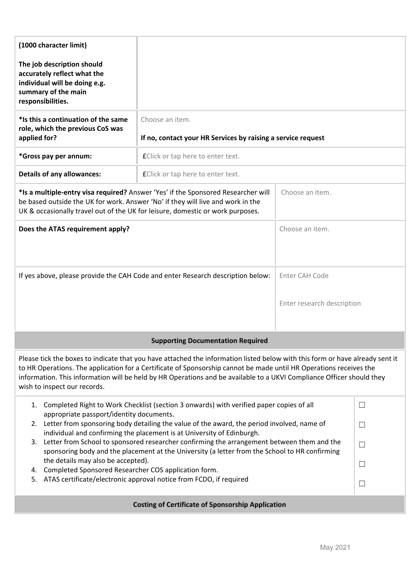| (1000 character limit)<br>The job description should<br>accurately reflect what the<br>individual will be doing e.g.<br>summary of the main                                                                                                                                                                                                                                                                                                                                                                                                                                                                                                                                                                                                                  |                                                                                 |                 |  |  |  |  |
|--------------------------------------------------------------------------------------------------------------------------------------------------------------------------------------------------------------------------------------------------------------------------------------------------------------------------------------------------------------------------------------------------------------------------------------------------------------------------------------------------------------------------------------------------------------------------------------------------------------------------------------------------------------------------------------------------------------------------------------------------------------|---------------------------------------------------------------------------------|-----------------|--|--|--|--|
| responsibilities.                                                                                                                                                                                                                                                                                                                                                                                                                                                                                                                                                                                                                                                                                                                                            |                                                                                 |                 |  |  |  |  |
| *Is this a continuation of the same<br>role, which the previous CoS was<br>applied for?                                                                                                                                                                                                                                                                                                                                                                                                                                                                                                                                                                                                                                                                      | Choose an item.<br>If no, contact your HR Services by raising a service request |                 |  |  |  |  |
| *Gross pay per annum:                                                                                                                                                                                                                                                                                                                                                                                                                                                                                                                                                                                                                                                                                                                                        | <b>f</b> Click or tap here to enter text.                                       |                 |  |  |  |  |
| <b>Details of any allowances:</b>                                                                                                                                                                                                                                                                                                                                                                                                                                                                                                                                                                                                                                                                                                                            | fClick or tap here to enter text.                                               |                 |  |  |  |  |
| *Is a multiple-entry visa required? Answer 'Yes' if the Sponsored Researcher will<br>be based outside the UK for work. Answer 'No' if they will live and work in the<br>UK & occasionally travel out of the UK for leisure, domestic or work purposes.                                                                                                                                                                                                                                                                                                                                                                                                                                                                                                       |                                                                                 | Choose an item. |  |  |  |  |
| Choose an item.<br>Does the ATAS requirement apply?                                                                                                                                                                                                                                                                                                                                                                                                                                                                                                                                                                                                                                                                                                          |                                                                                 |                 |  |  |  |  |
| If yes above, please provide the CAH Code and enter Research description below:                                                                                                                                                                                                                                                                                                                                                                                                                                                                                                                                                                                                                                                                              | Enter CAH Code<br>Enter research description                                    |                 |  |  |  |  |
|                                                                                                                                                                                                                                                                                                                                                                                                                                                                                                                                                                                                                                                                                                                                                              | <b>Supporting Documentation Required</b>                                        |                 |  |  |  |  |
| Please tick the boxes to indicate that you have attached the information listed below with this form or have already sent it<br>to HR Operations. The application for a Certificate of Sponsorship cannot be made until HR Operations receives the<br>information. This information will be held by HR Operations and be available to a UKVI Compliance Officer should they<br>wish to inspect our records.                                                                                                                                                                                                                                                                                                                                                  |                                                                                 |                 |  |  |  |  |
| Completed Right to Work Checklist (section 3 onwards) with verified paper copies of all<br>$\Box$<br>1.<br>appropriate passport/identity documents.<br>2. Letter from sponsoring body detailing the value of the award, the period involved, name of<br>$\Box$<br>individual and confirming the placement is at University of Edinburgh.<br>Letter from School to sponsored researcher confirming the arrangement between them and the<br>3.<br>$\Box$<br>sponsoring body and the placement at the University (a letter from the School to HR confirming<br>the details may also be accepted).<br>$\Box$<br>Completed Sponsored Researcher COS application form.<br>4.<br>ATAS certificate/electronic approval notice from FCDO, if required<br>5.<br>$\Box$ |                                                                                 |                 |  |  |  |  |
| <b>Costing of Certificate of Sponsorship Application</b>                                                                                                                                                                                                                                                                                                                                                                                                                                                                                                                                                                                                                                                                                                     |                                                                                 |                 |  |  |  |  |